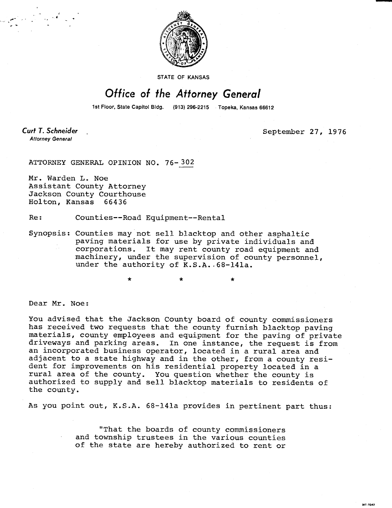

STATE OF KANSAS

## Office of the Attorney General

1st Floor, State Capitol Bldg. (913) 296-2215 Topeka, Kansas 66612

**Curt T. Schneider Attorney General** 

September 27, 1976

**MT-1042** 

ATTORNEY GENERAL OPINION NO. 76-302

Mr. Warden L. Noe Assistant County Attorney Jackson County Courthouse Holton, Kansas 66436

Re: Counties--Road Equipment--Rental

Synopsis: Counties may not sell blacktop and other asphaltic paving materials for use by private individuals and corporations. It may rent county road equipment and machinery, under the supervision of county personnel, under the authority of K.S.A. 68-141a.

Dear Mr. Noe:

You advised that the Jackson County board of county commissioners has received two requests that the county furnish blacktop paving materials, county employees and equipment for the paving of private driveways and parking areas. In one instance, the request is from an incorporated business operator, located in a rural area and adjacent to a state highway and in the other, from a county resident for improvements on his residential property located in a rural area of the county. You question whether the county is authorized to supply and sell blacktop materials to residents of the county.

As you point out, K.S.A. 68-141a provides in pertinent part thus:

"That the boards of county commissioners and township trustees in the various counties of the state are hereby authorized to rent or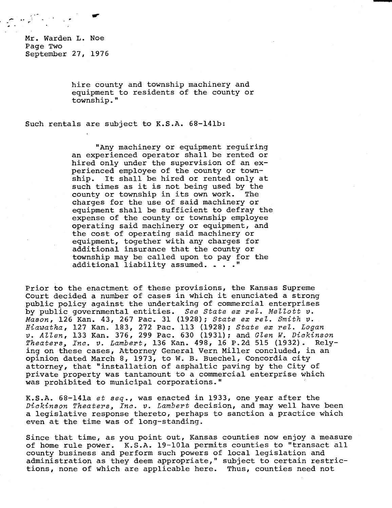Mr. Warden L. Noe Page Two September 27, 1976

> hire county and township machinery and equipment to residents of the county or township."

Such rentals are subject to K.S.A. 68-141b:

"Any machinery or equipment reguiring an experienced operator shall be rented or hired only under the supervision of an experienced employee of the county or township. It shall be hired or rented only at such times as it is not being used by the county or township in its own work. The charges for the use of said machinery or equipment shall be sufficient to defray the expense of the county or township employee operating said machinery or equipment, and the cost of operating said machinery or equipment, together with any charges for additional insurance that the county or township may be called upon to pay for the additional liability assumed. . . ."

Prior to the enactment of these provisions, the Kansas Supreme Court decided a number of cases in which it enunciated a strong public policy against the undertaking of commercial enterprises by public governmental entities. See State ex rel. Mellott v. Mason, 126 Kan. 43, 267 Pac. 31 (1928); State ex rel. Smith v. Hiawatha, 127 Kan. 183, 272 Pac. 113 (1928); State ex rel. Logan v. Allen, 133 Kan. 376, 299 Pac. 630 (1931); and Glen W. Dickinson Theaters, Inc. v. Lambert, 136 Kan. 498, 16 P.2d 515 (1932). Relying on these cases, Attorney General Vern Miller concluded, in an opinion dated March 8, 1973, to W. B. Buechel, Concordia city attorney, that "installation of asphaltic paving by the City of private property was tantamount to a commercial enterprise which was prohibited to municipal corporations."

K.S.A. 68-141a et seq., was enacted in 1933, one year after the Dickinson Theaters, Inc. v. Lambert decision, and may well have been a legislative response thereto, perhaps to sanction a practice which even at the time was of long-standing.

Since that time, as you point out, Kansas counties now enjoy a measure of home rule power. K.S.A. 19-101a permits counties to "transact all county business and perform such powers of local legislation and administration as they deem appropriate," subject to certain restrictions, none of which are applicable here. Thus, counties need not